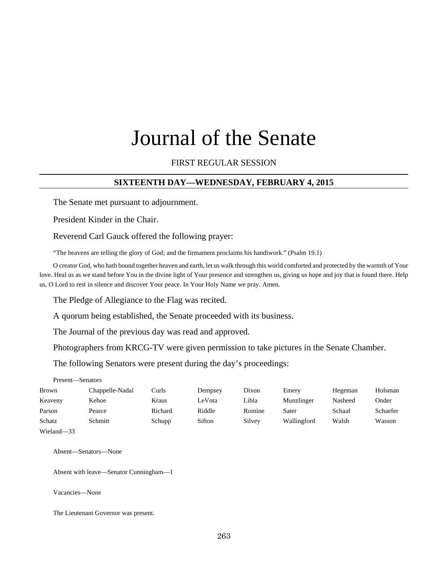# Journal of the Senate

### FIRST REGULAR SESSION

### **SIXTEENTH DAY—WEDNESDAY, FEBRUARY 4, 2015**

The Senate met pursuant to adjournment.

President Kinder in the Chair.

Reverend Carl Gauck offered the following prayer:

"The heavens are telling the glory of God; and the firmament proclaims his handiwork." (Psalm 19.1)

O creator God, who hath bound together heaven and earth, let us walk through this world comforted and protected by the warmth of Your love. Heal us as we stand before You in the divine light of Your presence and strengthen us, giving us hope and joy that is found there. Help us, O Lord to rest in silence and discover Your peace. In Your Holy Name we pray. Amen.

The Pledge of Allegiance to the Flag was recited.

A quorum being established, the Senate proceeded with its business.

The Journal of the previous day was read and approved.

Photographers from KRCG-TV were given permission to take pictures in the Senate Chamber.

The following Senators were present during the day's proceedings:

| —Senators |
|-----------|
|           |

| Brown      | Chappelle-Nadal | Curls   | Dempsey | Dixon  | Emery       | Hegeman | Holsman  |
|------------|-----------------|---------|---------|--------|-------------|---------|----------|
| Keaveny    | Kehoe           | Kraus   | LeVota  | Libla  | Munzlinger  | Nasheed | Onder    |
| Parson     | Pearce          | Richard | Riddle  | Romine | Sater       | Schaaf  | Schaefer |
| Schatz     | Schmitt         | Schupp  | Sifton  | Silvey | Wallingford | Walsh   | Wasson   |
| Wieland-33 |                 |         |         |        |             |         |          |

Absent—Senators—None

Absent with leave—Senator Cunningham—1

Vacancies—None

The Lieutenant Governor was present.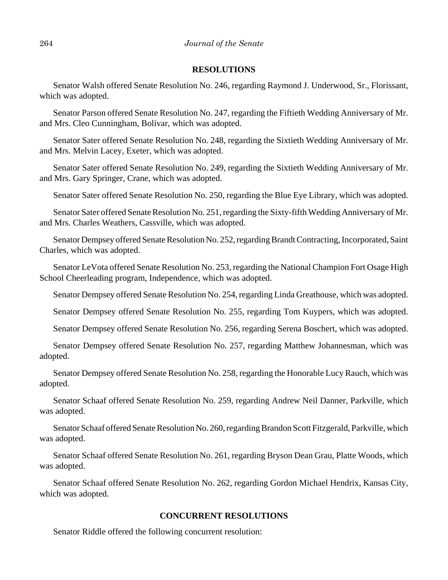### **RESOLUTIONS**

Senator Walsh offered Senate Resolution No. 246, regarding Raymond J. Underwood, Sr., Florissant, which was adopted.

Senator Parson offered Senate Resolution No. 247, regarding the Fiftieth Wedding Anniversary of Mr. and Mrs. Cleo Cunningham, Bolivar, which was adopted.

Senator Sater offered Senate Resolution No. 248, regarding the Sixtieth Wedding Anniversary of Mr. and Mrs. Melvin Lacey, Exeter, which was adopted.

Senator Sater offered Senate Resolution No. 249, regarding the Sixtieth Wedding Anniversary of Mr. and Mrs. Gary Springer, Crane, which was adopted.

Senator Sater offered Senate Resolution No. 250, regarding the Blue Eye Library, which was adopted.

Senator Sater offered Senate Resolution No. 251, regarding the Sixty-fifth Wedding Anniversary of Mr. and Mrs. Charles Weathers, Cassville, which was adopted.

Senator Dempsey offered Senate Resolution No. 252, regarding Brandt Contracting, Incorporated, Saint Charles, which was adopted.

Senator LeVota offered Senate Resolution No. 253, regarding the National Champion Fort Osage High School Cheerleading program, Independence, which was adopted.

Senator Dempsey offered Senate Resolution No. 254, regarding Linda Greathouse, which was adopted.

Senator Dempsey offered Senate Resolution No. 255, regarding Tom Kuypers, which was adopted.

Senator Dempsey offered Senate Resolution No. 256, regarding Serena Boschert, which was adopted.

Senator Dempsey offered Senate Resolution No. 257, regarding Matthew Johannesman, which was adopted.

Senator Dempsey offered Senate Resolution No. 258, regarding the Honorable Lucy Rauch, which was adopted.

Senator Schaaf offered Senate Resolution No. 259, regarding Andrew Neil Danner, Parkville, which was adopted.

Senator Schaaf offered Senate Resolution No. 260, regarding Brandon Scott Fitzgerald, Parkville, which was adopted.

Senator Schaaf offered Senate Resolution No. 261, regarding Bryson Dean Grau, Platte Woods, which was adopted.

Senator Schaaf offered Senate Resolution No. 262, regarding Gordon Michael Hendrix, Kansas City, which was adopted.

### **CONCURRENT RESOLUTIONS**

Senator Riddle offered the following concurrent resolution: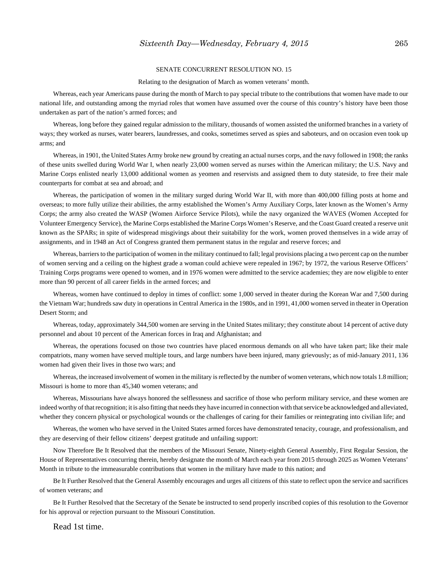#### SENATE CONCURRENT RESOLUTION NO. 15

#### Relating to the designation of March as women veterans' month.

Whereas, each year Americans pause during the month of March to pay special tribute to the contributions that women have made to our national life, and outstanding among the myriad roles that women have assumed over the course of this country's history have been those undertaken as part of the nation's armed forces; and

Whereas, long before they gained regular admission to the military, thousands of women assisted the uniformed branches in a variety of ways; they worked as nurses, water bearers, laundresses, and cooks, sometimes served as spies and saboteurs, and on occasion even took up arms; and

Whereas, in 1901, the United States Army broke new ground by creating an actual nurses corps, and the navy followed in 1908; the ranks of these units swelled during World War I, when nearly 23,000 women served as nurses within the American military; the U.S. Navy and Marine Corps enlisted nearly 13,000 additional women as yeomen and reservists and assigned them to duty stateside, to free their male counterparts for combat at sea and abroad; and

Whereas, the participation of women in the military surged during World War II, with more than 400,000 filling posts at home and overseas; to more fully utilize their abilities, the army established the Women's Army Auxiliary Corps, later known as the Women's Army Corps; the army also created the WASP (Women Airforce Service Pilots), while the navy organized the WAVES (Women Accepted for Volunteer Emergency Service), the Marine Corps established the Marine Corps Women's Reserve, and the Coast Guard created a reserve unit known as the SPARs; in spite of widespread misgivings about their suitability for the work, women proved themselves in a wide array of assignments, and in 1948 an Act of Congress granted them permanent status in the regular and reserve forces; and

Whereas, barriers to the participation of women in the military continued to fall; legal provisions placing a two percent cap on the number of women serving and a ceiling on the highest grade a woman could achieve were repealed in 1967; by 1972, the various Reserve Officers' Training Corps programs were opened to women, and in 1976 women were admitted to the service academies; they are now eligible to enter more than 90 percent of all career fields in the armed forces; and

Whereas, women have continued to deploy in times of conflict: some 1,000 served in theater during the Korean War and 7,500 during the Vietnam War; hundreds saw duty in operations in Central America in the 1980s, and in 1991, 41,000 women served in theater in Operation Desert Storm; and

Whereas, today, approximately 344,500 women are serving in the United States military; they constitute about 14 percent of active duty personnel and about 10 percent of the American forces in Iraq and Afghanistan; and

Whereas, the operations focused on those two countries have placed enormous demands on all who have taken part; like their male compatriots, many women have served multiple tours, and large numbers have been injured, many grievously; as of mid-January 2011, 136 women had given their lives in those two wars; and

Whereas, the increased involvement of women in the military is reflected by the number of women veterans, which now totals 1.8 million; Missouri is home to more than 45,340 women veterans; and

Whereas, Missourians have always honored the selflessness and sacrifice of those who perform military service, and these women are indeed worthy of that recognition; it is also fitting that needs they have incurred in connection with that service be acknowledged and alleviated, whether they concern physical or psychological wounds or the challenges of caring for their families or reintegrating into civilian life; and

Whereas, the women who have served in the United States armed forces have demonstrated tenacity, courage, and professionalism, and they are deserving of their fellow citizens' deepest gratitude and unfailing support:

Now Therefore Be It Resolved that the members of the Missouri Senate, Ninety-eighth General Assembly, First Regular Session, the House of Representatives concurring therein, hereby designate the month of March each year from 2015 through 2025 as Women Veterans' Month in tribute to the immeasurable contributions that women in the military have made to this nation; and

Be It Further Resolved that the General Assembly encourages and urges all citizens of this state to reflect upon the service and sacrifices of women veterans; and

Be It Further Resolved that the Secretary of the Senate be instructed to send properly inscribed copies of this resolution to the Governor for his approval or rejection pursuant to the Missouri Constitution.

Read 1st time.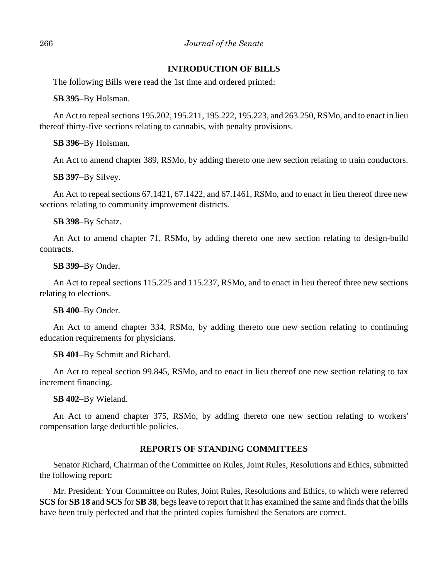### **INTRODUCTION OF BILLS**

The following Bills were read the 1st time and ordered printed:

**SB 395**–By Holsman.

An Act to repeal sections 195.202, 195.211, 195.222, 195.223, and 263.250, RSMo, and to enact in lieu thereof thirty-five sections relating to cannabis, with penalty provisions.

**SB 396**–By Holsman.

An Act to amend chapter 389, RSMo, by adding thereto one new section relating to train conductors.

**SB 397**–By Silvey.

An Act to repeal sections 67.1421, 67.1422, and 67.1461, RSMo, and to enact in lieu thereof three new sections relating to community improvement districts.

**SB 398**–By Schatz.

An Act to amend chapter 71, RSMo, by adding thereto one new section relating to design-build contracts.

**SB 399**–By Onder.

An Act to repeal sections 115.225 and 115.237, RSMo, and to enact in lieu thereof three new sections relating to elections.

**SB 400**–By Onder.

An Act to amend chapter 334, RSMo, by adding thereto one new section relating to continuing education requirements for physicians.

**SB 401**–By Schmitt and Richard.

An Act to repeal section 99.845, RSMo, and to enact in lieu thereof one new section relating to tax increment financing.

**SB 402**–By Wieland.

An Act to amend chapter 375, RSMo, by adding thereto one new section relating to workers' compensation large deductible policies.

### **REPORTS OF STANDING COMMITTEES**

Senator Richard, Chairman of the Committee on Rules, Joint Rules, Resolutions and Ethics, submitted the following report:

Mr. President: Your Committee on Rules, Joint Rules, Resolutions and Ethics, to which were referred **SCS** for **SB 18** and **SCS** for **SB 38**, begs leave to report that it has examined the same and finds that the bills have been truly perfected and that the printed copies furnished the Senators are correct.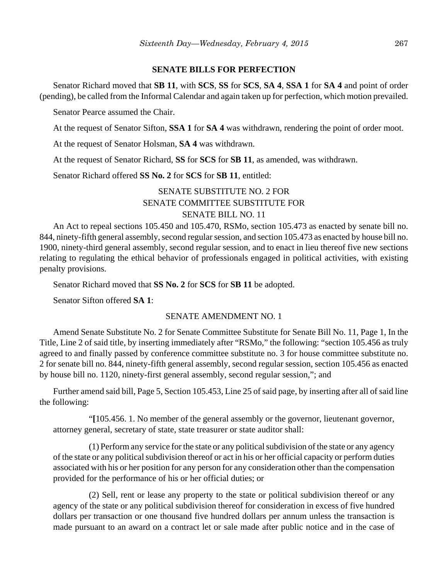#### **SENATE BILLS FOR PERFECTION**

Senator Richard moved that **SB 11**, with **SCS**, **SS** for **SCS**, **SA 4**, **SSA 1** for **SA 4** and point of order (pending), be called from the Informal Calendar and again taken up for perfection, which motion prevailed.

Senator Pearce assumed the Chair.

At the request of Senator Sifton, **SSA 1** for **SA 4** was withdrawn, rendering the point of order moot.

At the request of Senator Holsman, **SA 4** was withdrawn.

At the request of Senator Richard, **SS** for **SCS** for **SB 11**, as amended, was withdrawn.

Senator Richard offered **SS No. 2** for **SCS** for **SB 11**, entitled:

### SENATE SUBSTITUTE NO. 2 FOR SENATE COMMITTEE SUBSTITUTE FOR SENATE BILL NO. 11

An Act to repeal sections 105.450 and 105.470, RSMo, section 105.473 as enacted by senate bill no. 844, ninety-fifth general assembly, second regular session, and section 105.473 as enacted by house bill no. 1900, ninety-third general assembly, second regular session, and to enact in lieu thereof five new sections relating to regulating the ethical behavior of professionals engaged in political activities, with existing penalty provisions.

Senator Richard moved that **SS No. 2** for **SCS** for **SB 11** be adopted.

Senator Sifton offered **SA 1**:

### SENATE AMENDMENT NO. 1

Amend Senate Substitute No. 2 for Senate Committee Substitute for Senate Bill No. 11, Page 1, In the Title, Line 2 of said title, by inserting immediately after "RSMo," the following: "section 105.456 as truly agreed to and finally passed by conference committee substitute no. 3 for house committee substitute no. 2 for senate bill no. 844, ninety-fifth general assembly, second regular session, section 105.456 as enacted by house bill no. 1120, ninety-first general assembly, second regular session,"; and

Further amend said bill, Page 5, Section 105.453, Line 25 of said page, by inserting after all of said line the following:

"**[**105.456. 1. No member of the general assembly or the governor, lieutenant governor, attorney general, secretary of state, state treasurer or state auditor shall:

(1) Perform any service for the state or any political subdivision of the state or any agency of the state or any political subdivision thereof or act in his or her official capacity or perform duties associated with his or her position for any person for any consideration other than the compensation provided for the performance of his or her official duties; or

(2) Sell, rent or lease any property to the state or political subdivision thereof or any agency of the state or any political subdivision thereof for consideration in excess of five hundred dollars per transaction or one thousand five hundred dollars per annum unless the transaction is made pursuant to an award on a contract let or sale made after public notice and in the case of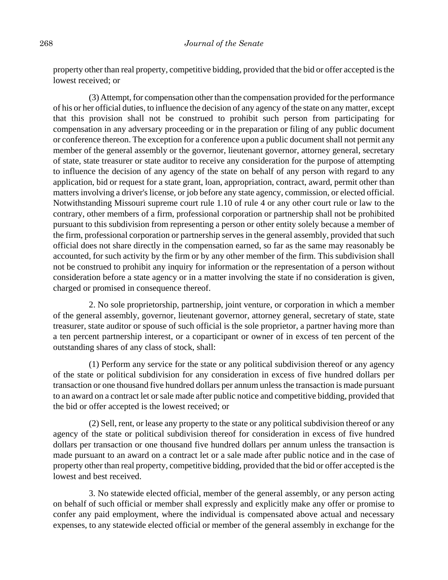property other than real property, competitive bidding, provided that the bid or offer accepted is the lowest received; or

(3) Attempt, for compensation other than the compensation provided for the performance of his or her official duties, to influence the decision of any agency of the state on any matter, except that this provision shall not be construed to prohibit such person from participating for compensation in any adversary proceeding or in the preparation or filing of any public document or conference thereon. The exception for a conference upon a public document shall not permit any member of the general assembly or the governor, lieutenant governor, attorney general, secretary of state, state treasurer or state auditor to receive any consideration for the purpose of attempting to influence the decision of any agency of the state on behalf of any person with regard to any application, bid or request for a state grant, loan, appropriation, contract, award, permit other than matters involving a driver's license, or job before any state agency, commission, or elected official. Notwithstanding Missouri supreme court rule 1.10 of rule 4 or any other court rule or law to the contrary, other members of a firm, professional corporation or partnership shall not be prohibited pursuant to this subdivision from representing a person or other entity solely because a member of the firm, professional corporation or partnership serves in the general assembly, provided that such official does not share directly in the compensation earned, so far as the same may reasonably be accounted, for such activity by the firm or by any other member of the firm. This subdivision shall not be construed to prohibit any inquiry for information or the representation of a person without consideration before a state agency or in a matter involving the state if no consideration is given, charged or promised in consequence thereof.

2. No sole proprietorship, partnership, joint venture, or corporation in which a member of the general assembly, governor, lieutenant governor, attorney general, secretary of state, state treasurer, state auditor or spouse of such official is the sole proprietor, a partner having more than a ten percent partnership interest, or a coparticipant or owner of in excess of ten percent of the outstanding shares of any class of stock, shall:

(1) Perform any service for the state or any political subdivision thereof or any agency of the state or political subdivision for any consideration in excess of five hundred dollars per transaction or one thousand five hundred dollars per annum unless the transaction is made pursuant to an award on a contract let or sale made after public notice and competitive bidding, provided that the bid or offer accepted is the lowest received; or

(2) Sell, rent, or lease any property to the state or any political subdivision thereof or any agency of the state or political subdivision thereof for consideration in excess of five hundred dollars per transaction or one thousand five hundred dollars per annum unless the transaction is made pursuant to an award on a contract let or a sale made after public notice and in the case of property other than real property, competitive bidding, provided that the bid or offer accepted is the lowest and best received.

3. No statewide elected official, member of the general assembly, or any person acting on behalf of such official or member shall expressly and explicitly make any offer or promise to confer any paid employment, where the individual is compensated above actual and necessary expenses, to any statewide elected official or member of the general assembly in exchange for the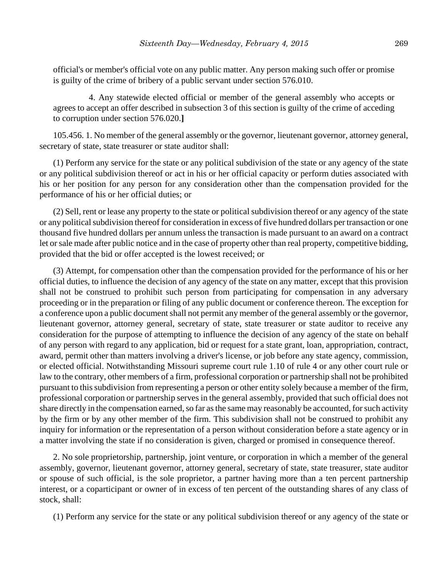official's or member's official vote on any public matter. Any person making such offer or promise is guilty of the crime of bribery of a public servant under section 576.010.

4. Any statewide elected official or member of the general assembly who accepts or agrees to accept an offer described in subsection 3 of this section is guilty of the crime of acceding to corruption under section 576.020.**]**

105.456. 1. No member of the general assembly or the governor, lieutenant governor, attorney general, secretary of state, state treasurer or state auditor shall:

(1) Perform any service for the state or any political subdivision of the state or any agency of the state or any political subdivision thereof or act in his or her official capacity or perform duties associated with his or her position for any person for any consideration other than the compensation provided for the performance of his or her official duties; or

(2) Sell, rent or lease any property to the state or political subdivision thereof or any agency of the state or any political subdivision thereof for consideration in excess of five hundred dollars per transaction or one thousand five hundred dollars per annum unless the transaction is made pursuant to an award on a contract let or sale made after public notice and in the case of property other than real property, competitive bidding, provided that the bid or offer accepted is the lowest received; or

(3) Attempt, for compensation other than the compensation provided for the performance of his or her official duties, to influence the decision of any agency of the state on any matter, except that this provision shall not be construed to prohibit such person from participating for compensation in any adversary proceeding or in the preparation or filing of any public document or conference thereon. The exception for a conference upon a public document shall not permit any member of the general assembly or the governor, lieutenant governor, attorney general, secretary of state, state treasurer or state auditor to receive any consideration for the purpose of attempting to influence the decision of any agency of the state on behalf of any person with regard to any application, bid or request for a state grant, loan, appropriation, contract, award, permit other than matters involving a driver's license, or job before any state agency, commission, or elected official. Notwithstanding Missouri supreme court rule 1.10 of rule 4 or any other court rule or law to the contrary, other members of a firm, professional corporation or partnership shall not be prohibited pursuant to this subdivision from representing a person or other entity solely because a member of the firm, professional corporation or partnership serves in the general assembly, provided that such official does not share directly in the compensation earned, so far as the same may reasonably be accounted, for such activity by the firm or by any other member of the firm. This subdivision shall not be construed to prohibit any inquiry for information or the representation of a person without consideration before a state agency or in a matter involving the state if no consideration is given, charged or promised in consequence thereof.

2. No sole proprietorship, partnership, joint venture, or corporation in which a member of the general assembly, governor, lieutenant governor, attorney general, secretary of state, state treasurer, state auditor or spouse of such official, is the sole proprietor, a partner having more than a ten percent partnership interest, or a coparticipant or owner of in excess of ten percent of the outstanding shares of any class of stock, shall:

(1) Perform any service for the state or any political subdivision thereof or any agency of the state or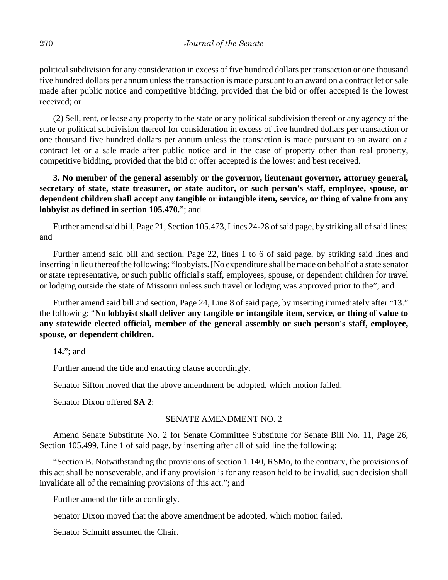political subdivision for any consideration in excess of five hundred dollars per transaction or one thousand five hundred dollars per annum unless the transaction is made pursuant to an award on a contract let or sale made after public notice and competitive bidding, provided that the bid or offer accepted is the lowest received; or

(2) Sell, rent, or lease any property to the state or any political subdivision thereof or any agency of the state or political subdivision thereof for consideration in excess of five hundred dollars per transaction or one thousand five hundred dollars per annum unless the transaction is made pursuant to an award on a contract let or a sale made after public notice and in the case of property other than real property, competitive bidding, provided that the bid or offer accepted is the lowest and best received.

**3. No member of the general assembly or the governor, lieutenant governor, attorney general, secretary of state, state treasurer, or state auditor, or such person's staff, employee, spouse, or dependent children shall accept any tangible or intangible item, service, or thing of value from any lobbyist as defined in section 105.470.**"; and

Further amend said bill, Page 21, Section 105.473, Lines 24-28 of said page, by striking all of said lines; and

Further amend said bill and section, Page 22, lines 1 to 6 of said page, by striking said lines and inserting in lieu thereof the following: "lobbyists. **[**No expenditure shall be made on behalf of a state senator or state representative, or such public official's staff, employees, spouse, or dependent children for travel or lodging outside the state of Missouri unless such travel or lodging was approved prior to the"; and

Further amend said bill and section, Page 24, Line 8 of said page, by inserting immediately after "13." the following: "**No lobbyist shall deliver any tangible or intangible item, service, or thing of value to any statewide elected official, member of the general assembly or such person's staff, employee, spouse, or dependent children.**

**14.**"; and

Further amend the title and enacting clause accordingly.

Senator Sifton moved that the above amendment be adopted, which motion failed.

Senator Dixon offered **SA 2**:

### SENATE AMENDMENT NO. 2

Amend Senate Substitute No. 2 for Senate Committee Substitute for Senate Bill No. 11, Page 26, Section 105.499, Line 1 of said page, by inserting after all of said line the following:

"Section B. Notwithstanding the provisions of section 1.140, RSMo, to the contrary, the provisions of this act shall be nonseverable, and if any provision is for any reason held to be invalid, such decision shall invalidate all of the remaining provisions of this act."; and

Further amend the title accordingly.

Senator Dixon moved that the above amendment be adopted, which motion failed.

Senator Schmitt assumed the Chair.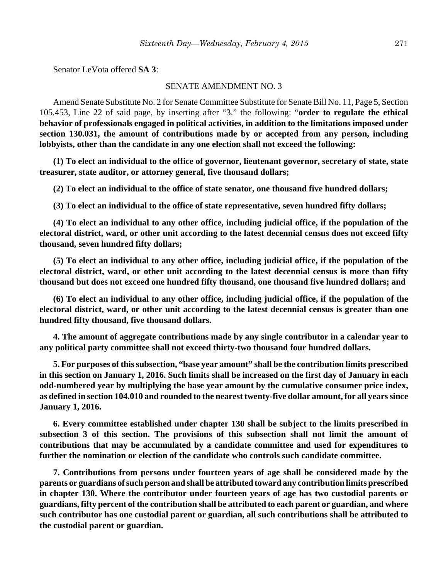Senator LeVota offered **SA 3**:

#### SENATE AMENDMENT NO. 3

Amend Senate Substitute No. 2 for Senate Committee Substitute for Senate Bill No. 11, Page 5, Section 105.453, Line 22 of said page, by inserting after "3." the following: "**order to regulate the ethical behavior of professionals engaged in political activities, in addition to the limitations imposed under section 130.031, the amount of contributions made by or accepted from any person, including lobbyists, other than the candidate in any one election shall not exceed the following:**

**(1) To elect an individual to the office of governor, lieutenant governor, secretary of state, state treasurer, state auditor, or attorney general, five thousand dollars;**

**(2) To elect an individual to the office of state senator, one thousand five hundred dollars;**

**(3) To elect an individual to the office of state representative, seven hundred fifty dollars;**

**(4) To elect an individual to any other office, including judicial office, if the population of the electoral district, ward, or other unit according to the latest decennial census does not exceed fifty thousand, seven hundred fifty dollars;**

**(5) To elect an individual to any other office, including judicial office, if the population of the electoral district, ward, or other unit according to the latest decennial census is more than fifty thousand but does not exceed one hundred fifty thousand, one thousand five hundred dollars; and**

**(6) To elect an individual to any other office, including judicial office, if the population of the electoral district, ward, or other unit according to the latest decennial census is greater than one hundred fifty thousand, five thousand dollars.**

**4. The amount of aggregate contributions made by any single contributor in a calendar year to any political party committee shall not exceed thirty-two thousand four hundred dollars.**

**5. For purposes of this subsection, "base year amount" shall be the contribution limits prescribed in this section on January 1, 2016. Such limits shall be increased on the first day of January in each odd-numbered year by multiplying the base year amount by the cumulative consumer price index, as defined in section 104.010 and rounded to the nearest twenty-five dollar amount, for all years since January 1, 2016.**

**6. Every committee established under chapter 130 shall be subject to the limits prescribed in subsection 3 of this section. The provisions of this subsection shall not limit the amount of contributions that may be accumulated by a candidate committee and used for expenditures to further the nomination or election of the candidate who controls such candidate committee.**

**7. Contributions from persons under fourteen years of age shall be considered made by the parents or guardians of such person and shall be attributed toward any contribution limits prescribed in chapter 130. Where the contributor under fourteen years of age has two custodial parents or guardians, fifty percent of the contribution shall be attributed to each parent or guardian, and where such contributor has one custodial parent or guardian, all such contributions shall be attributed to the custodial parent or guardian.**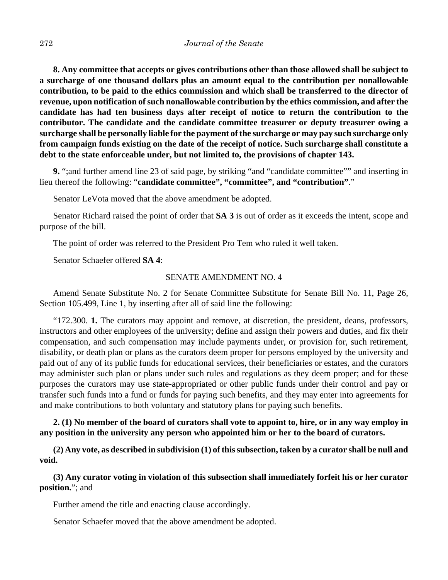**8. Any committee that accepts or gives contributions other than those allowed shall be subject to a surcharge of one thousand dollars plus an amount equal to the contribution per nonallowable contribution, to be paid to the ethics commission and which shall be transferred to the director of revenue, upon notification of such nonallowable contribution by the ethics commission, and after the candidate has had ten business days after receipt of notice to return the contribution to the contributor. The candidate and the candidate committee treasurer or deputy treasurer owing a surcharge shall be personally liable for the payment of the surcharge or may pay such surcharge only from campaign funds existing on the date of the receipt of notice. Such surcharge shall constitute a debt to the state enforceable under, but not limited to, the provisions of chapter 143.**

**9.** ";and further amend line 23 of said page, by striking "and "candidate committee"" and inserting in lieu thereof the following: "**candidate committee", "committee", and "contribution"**."

Senator LeVota moved that the above amendment be adopted.

Senator Richard raised the point of order that **SA 3** is out of order as it exceeds the intent, scope and purpose of the bill.

The point of order was referred to the President Pro Tem who ruled it well taken.

Senator Schaefer offered **SA 4**:

### SENATE AMENDMENT NO. 4

Amend Senate Substitute No. 2 for Senate Committee Substitute for Senate Bill No. 11, Page 26, Section 105.499, Line 1, by inserting after all of said line the following:

"172.300. **1.** The curators may appoint and remove, at discretion, the president, deans, professors, instructors and other employees of the university; define and assign their powers and duties, and fix their compensation, and such compensation may include payments under, or provision for, such retirement, disability, or death plan or plans as the curators deem proper for persons employed by the university and paid out of any of its public funds for educational services, their beneficiaries or estates, and the curators may administer such plan or plans under such rules and regulations as they deem proper; and for these purposes the curators may use state-appropriated or other public funds under their control and pay or transfer such funds into a fund or funds for paying such benefits, and they may enter into agreements for and make contributions to both voluntary and statutory plans for paying such benefits.

**2. (1) No member of the board of curators shall vote to appoint to, hire, or in any way employ in any position in the university any person who appointed him or her to the board of curators.**

**(2) Any vote, as described in subdivision (1) of this subsection, taken by a curator shall be null and void.**

**(3) Any curator voting in violation of this subsection shall immediately forfeit his or her curator position.**"; and

Further amend the title and enacting clause accordingly.

Senator Schaefer moved that the above amendment be adopted.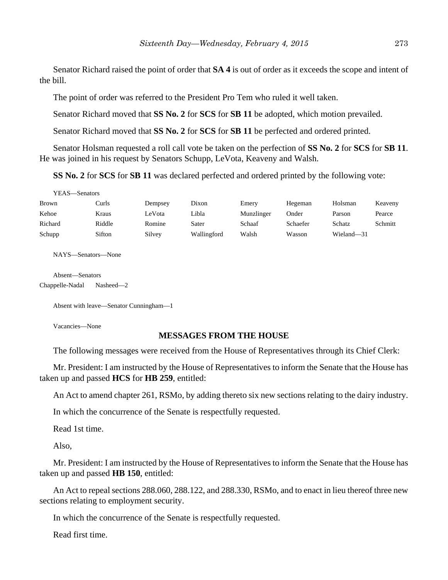Senator Richard raised the point of order that **SA 4** is out of order as it exceeds the scope and intent of the bill.

The point of order was referred to the President Pro Tem who ruled it well taken.

Senator Richard moved that **SS No. 2** for **SCS** for **SB 11** be adopted, which motion prevailed.

Senator Richard moved that **SS No. 2** for **SCS** for **SB 11** be perfected and ordered printed.

Senator Holsman requested a roll call vote be taken on the perfection of **SS No. 2** for **SCS** for **SB 11**. He was joined in his request by Senators Schupp, LeVota, Keaveny and Walsh.

**SS No. 2** for **SCS** for **SB 11** was declared perfected and ordered printed by the following vote:

YEAS—Senators

| <b>Brown</b> | Curls  | Dempsey | Dixon       | Emery      | Hegeman  | Holsman    | Keaveny |
|--------------|--------|---------|-------------|------------|----------|------------|---------|
| Kehoe        | Kraus  | LeVota  | Libla       | Munzlinger | Onder    | Parson     | Pearce  |
| Richard      | Riddle | Romine  | Sater       | Schaaf     | Schaefer | Schatz     | Schmitt |
| Schupp       | Sifton | Silvey  | Wallingford | Walsh      | Wasson   | Wieland-31 |         |

NAYS—Senators—None

Absent—Senators Chappelle-Nadal Nasheed—2

Absent with leave—Senator Cunningham—1

Vacancies—None

### **MESSAGES FROM THE HOUSE**

The following messages were received from the House of Representatives through its Chief Clerk:

Mr. President: I am instructed by the House of Representatives to inform the Senate that the House has taken up and passed **HCS** for **HB 259**, entitled:

An Act to amend chapter 261, RSMo, by adding thereto six new sections relating to the dairy industry.

In which the concurrence of the Senate is respectfully requested.

Read 1st time.

Also,

Mr. President: I am instructed by the House of Representatives to inform the Senate that the House has taken up and passed **HB 150**, entitled:

An Act to repeal sections 288.060, 288.122, and 288.330, RSMo, and to enact in lieu thereof three new sections relating to employment security.

In which the concurrence of the Senate is respectfully requested.

Read first time.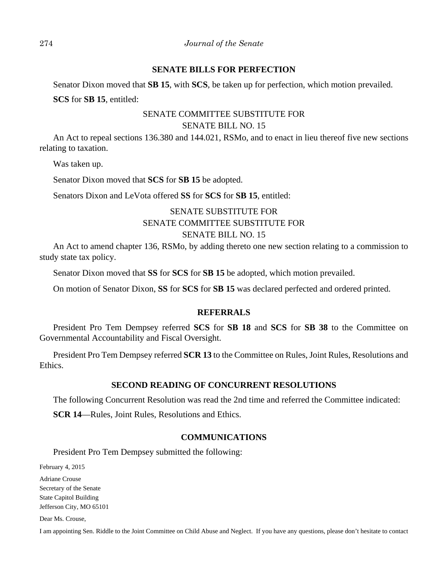### **SENATE BILLS FOR PERFECTION**

Senator Dixon moved that **SB 15**, with **SCS**, be taken up for perfection, which motion prevailed.

**SCS** for **SB 15**, entitled:

### SENATE COMMITTEE SUBSTITUTE FOR SENATE BILL NO. 15

An Act to repeal sections 136.380 and 144.021, RSMo, and to enact in lieu thereof five new sections relating to taxation.

Was taken up.

Senator Dixon moved that **SCS** for **SB 15** be adopted.

Senators Dixon and LeVota offered **SS** for **SCS** for **SB 15**, entitled:

# SENATE SUBSTITUTE FOR SENATE COMMITTEE SUBSTITUTE FOR SENATE BILL NO. 15

An Act to amend chapter 136, RSMo, by adding thereto one new section relating to a commission to study state tax policy.

Senator Dixon moved that **SS** for **SCS** for **SB 15** be adopted, which motion prevailed.

On motion of Senator Dixon, **SS** for **SCS** for **SB 15** was declared perfected and ordered printed.

### **REFERRALS**

President Pro Tem Dempsey referred **SCS** for **SB 18** and **SCS** for **SB 38** to the Committee on Governmental Accountability and Fiscal Oversight.

President Pro Tem Dempsey referred **SCR 13** to the Committee on Rules, Joint Rules, Resolutions and Ethics.

### **SECOND READING OF CONCURRENT RESOLUTIONS**

The following Concurrent Resolution was read the 2nd time and referred the Committee indicated:

**SCR 14**—Rules, Joint Rules, Resolutions and Ethics.

### **COMMUNICATIONS**

President Pro Tem Dempsey submitted the following:

February 4, 2015

Adriane Crouse Secretary of the Senate State Capitol Building Jefferson City, MO 65101

Dear Ms. Crouse,

I am appointing Sen. Riddle to the Joint Committee on Child Abuse and Neglect. If you have any questions, please don't hesitate to contact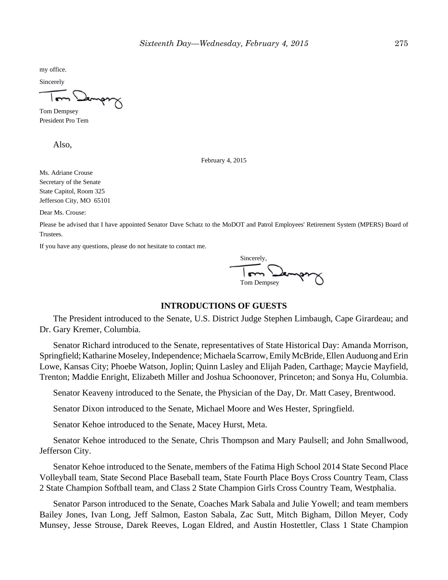my office.

Sincerely

Tom Dempsey President Pro Tem

Also,

February 4, 2015

Ms. Adriane Crouse Secretary of the Senate State Capitol, Room 325 Jefferson City, MO 65101

Dear Ms. Crouse:

Please be advised that I have appointed Senator Dave Schatz to the MoDOT and Patrol Employees' Retirement System (MPERS) Board of Trustees.

If you have any questions, please do not hesitate to contact me.

Sincerely, Tom Dempsey

#### **INTRODUCTIONS OF GUESTS**

The President introduced to the Senate, U.S. District Judge Stephen Limbaugh, Cape Girardeau; and Dr. Gary Kremer, Columbia.

Senator Richard introduced to the Senate, representatives of State Historical Day: Amanda Morrison, Springfield; Katharine Moseley, Independence; Michaela Scarrow, Emily McBride, Ellen Auduong and Erin Lowe, Kansas City; Phoebe Watson, Joplin; Quinn Lasley and Elijah Paden, Carthage; Maycie Mayfield, Trenton; Maddie Enright, Elizabeth Miller and Joshua Schoonover, Princeton; and Sonya Hu, Columbia.

Senator Keaveny introduced to the Senate, the Physician of the Day, Dr. Matt Casey, Brentwood.

Senator Dixon introduced to the Senate, Michael Moore and Wes Hester, Springfield.

Senator Kehoe introduced to the Senate, Macey Hurst, Meta.

Senator Kehoe introduced to the Senate, Chris Thompson and Mary Paulsell; and John Smallwood, Jefferson City.

Senator Kehoe introduced to the Senate, members of the Fatima High School 2014 State Second Place Volleyball team, State Second Place Baseball team, State Fourth Place Boys Cross Country Team, Class 2 State Champion Softball team, and Class 2 State Champion Girls Cross Country Team, Westphalia.

Senator Parson introduced to the Senate, Coaches Mark Sabala and Julie Yowell; and team members Bailey Jones, Ivan Long, Jeff Salmon, Easton Sabala, Zac Sutt, Mitch Bigham, Dillon Meyer, Cody Munsey, Jesse Strouse, Darek Reeves, Logan Eldred, and Austin Hostettler, Class 1 State Champion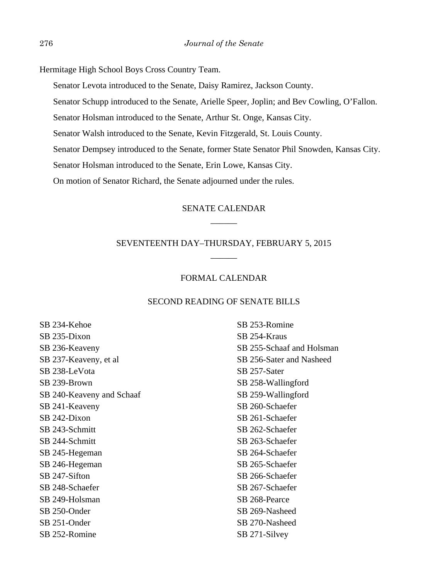Hermitage High School Boys Cross Country Team.

Senator Levota introduced to the Senate, Daisy Ramirez, Jackson County.

Senator Schupp introduced to the Senate, Arielle Speer, Joplin; and Bev Cowling, O'Fallon.

Senator Holsman introduced to the Senate, Arthur St. Onge, Kansas City.

Senator Walsh introduced to the Senate, Kevin Fitzgerald, St. Louis County.

Senator Dempsey introduced to the Senate, former State Senator Phil Snowden, Kansas City.

Senator Holsman introduced to the Senate, Erin Lowe, Kansas City.

On motion of Senator Richard, the Senate adjourned under the rules.

### SENATE CALENDAR  $\overline{\phantom{a}}$

### SEVENTEENTH DAY–THURSDAY, FEBRUARY 5, 2015  $\overline{\phantom{a}}$

### FORMAL CALENDAR

#### SECOND READING OF SENATE BILLS

SB 234-Kehoe SB 235-Dixon SB 236-Keaveny SB 237-Keaveny, et al SB 238-LeVota SB 239-Brown SB 240-Keaveny and Schaaf SB 241-Keaveny SB 242-Dixon SB 243-Schmitt SB 244-Schmitt SB 245-Hegeman SB 246-Hegeman SB 247-Sifton SB 248-Schaefer SB 249-Holsman SB 250-Onder SB 251-Onder SB 252-Romine

SB 253-Romine SB 254-Kraus SB 255-Schaaf and Holsman SB 256-Sater and Nasheed SB 257-Sater SB 258-Wallingford SB 259-Wallingford SB 260-Schaefer SB 261-Schaefer SB 262-Schaefer SB 263-Schaefer SB 264-Schaefer SB 265-Schaefer SB 266-Schaefer SB 267-Schaefer SB 268-Pearce SB 269-Nasheed SB 270-Nasheed SB 271-Silvey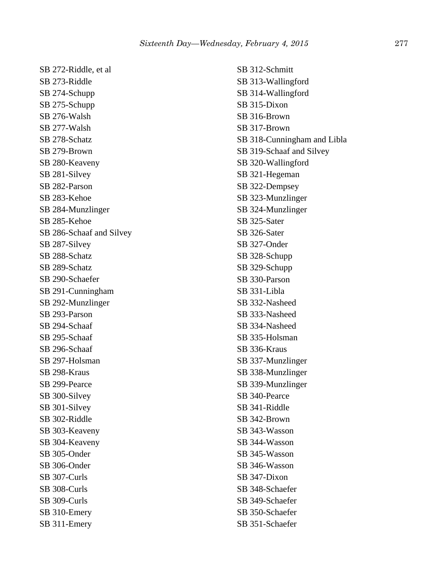SB 272-Riddle, et al SB 273-Riddle SB 274-Schupp SB 275-Schupp SB 276-Walsh SB 277-Walsh SB 278-Schatz SB 279-Brown SB 280-Keaveny SB 281-Silvey SB 282-Parson SB 283-Kehoe SB 284-Munzlinger SB 285-Kehoe SB 286-Schaaf and Silvey SB 287-Silvey SB 288-Schatz SB 289-Schatz SB 290-Schaefer SB 291-Cunningham SB 292-Munzlinger SB 293-Parson SB 294-Schaaf SB 295-Schaaf SB 296-Schaaf SB 297-Holsman SB 298-Kraus SB 299-Pearce SB 300-Silvey SB 301-Silvey SB 302-Riddle SB 303-Keaveny SB 304-Keaveny SB 305-Onder SB 306-Onder SB 307-Curls SB 308-Curls SB 309-Curls SB 310-Emery SB 311-Emery

SB 312-Schmitt SB 313-Wallingford SB 314-Wallingford SB 315-Dixon SB 316-Brown SB 317-Brown SB 318-Cunningham and Libla SB 319-Schaaf and Silvey SB 320-Wallingford SB 321-Hegeman SB 322-Dempsey SB 323-Munzlinger SB 324-Munzlinger SB 325-Sater SB 326-Sater SB 327-Onder SB 328-Schupp SB 329-Schupp SB 330-Parson SB 331-Libla SB 332-Nasheed SB 333-Nasheed SB 334-Nasheed SB 335-Holsman SB 336-Kraus SB 337-Munzlinger SB 338-Munzlinger SB 339-Munzlinger SB 340-Pearce SB 341-Riddle SB 342-Brown SB 343-Wasson SB 344-Wasson SB 345-Wasson SB 346-Wasson SB 347-Dixon SB 348-Schaefer SB 349-Schaefer SB 350-Schaefer SB 351-Schaefer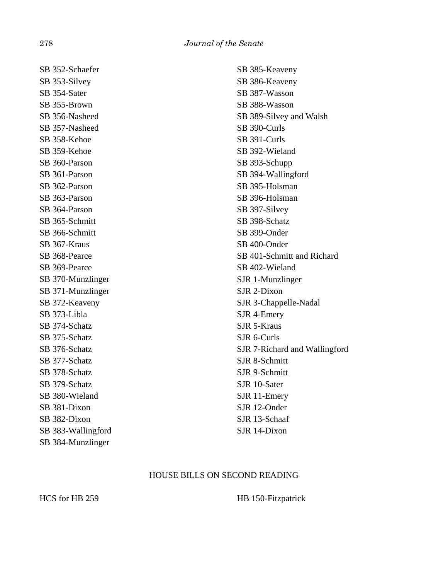SB 352-Schaefer SB 353-Silvey SB 354-Sater SB 355-Brown SB 356-Nasheed SB 357-Nasheed SB 358-Kehoe SB 359-Kehoe SB 360-Parson SB 361-Parson SB 362-Parson SB 363-Parson SB 364-Parson SB 365-Schmitt SB 366-Schmitt SB 367-Kraus SB 368-Pearce SB 369-Pearce SB 370-Munzlinger SB 371-Munzlinger SB 372-Keaveny SB 373-Libla SB 374-Schatz SB 375-Schatz SB 376-Schatz SB 377-Schatz SB 378-Schatz SB 379-Schatz SB 380-Wieland SB 381-Dixon SB 382-Dixon SB 383-Wallingford SB 384-Munzlinger

SB 385-Keaveny SB 386-Keaveny SB 387-Wasson SB 388-Wasson SB 389-Silvey and Walsh SB 390-Curls SB 391-Curls SB 392-Wieland SB 393-Schupp SB 394-Wallingford SB 395-Holsman SB 396-Holsman SB 397-Silvey SB 398-Schatz SB 399-Onder SB 400-Onder SB 401-Schmitt and Richard SB 402-Wieland SJR 1-Munzlinger SJR 2-Dixon SJR 3-Chappelle-Nadal SJR 4-Emery SJR 5-Kraus SJR 6-Curls SJR 7-Richard and Wallingford SJR 8-Schmitt SJR 9-Schmitt SJR 10-Sater SJR 11-Emery SJR 12-Onder SJR 13-Schaaf SJR 14-Dixon

### HOUSE BILLS ON SECOND READING

HCS for HB 259 HB 150-Fitzpatrick